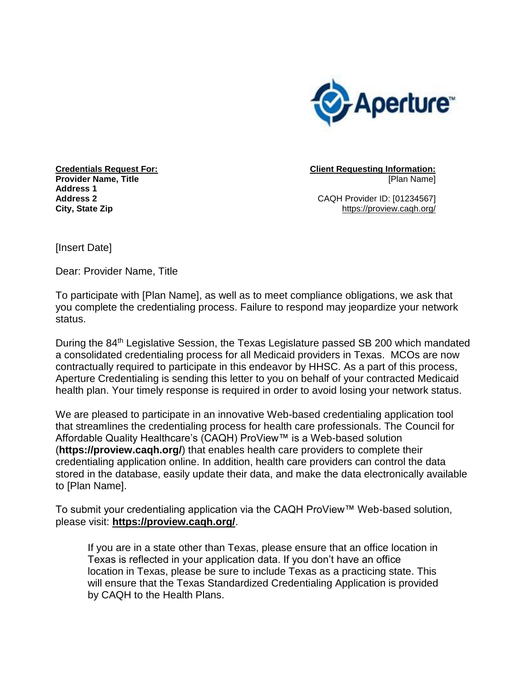

**Credentials Request For: Provider Name, Title Address 1 Address 2 City, State Zip**

**Client Requesting Information:** [Plan Name]

CAQH Provider ID: [01234567] https://proview.caqh.org/

[Insert Date]

Dear: Provider Name, Title

To participate with [Plan Name], as well as to meet compliance obligations, we ask that you complete the credentialing process. Failure to respond may jeopardize your network status.

During the 84<sup>th</sup> Legislative Session, the Texas Legislature passed SB 200 which mandated a consolidated credentialing process for all Medicaid providers in Texas. MCOs are now contractually required to participate in this endeavor by HHSC. As a part of this process, Aperture Credentialing is sending this letter to you on behalf of your contracted Medicaid health plan. Your timely response is required in order to avoid losing your network status.

We are pleased to participate in an innovative Web-based credentialing application tool that streamlines the credentialing process for health care professionals. The Council for Affordable Quality Healthcare's (CAQH) ProView™ is a Web-based solution (**https://proview.caqh.org/**) that enables health care providers to complete their credentialing application online. In addition, health care providers can control the data stored in the database, easily update their data, and make the data electronically available to [Plan Name].

To submit your credentialing application via the CAQH ProView™ Web-based solution, please visit: **https://proview.caqh.org/**.

If you are in a state other than Texas, please ensure that an office location in Texas is reflected in your application data. If you don't have an office location in Texas, please be sure to include Texas as a practicing state. This will ensure that the Texas Standardized Credentialing Application is provided by CAQH to the Health Plans.